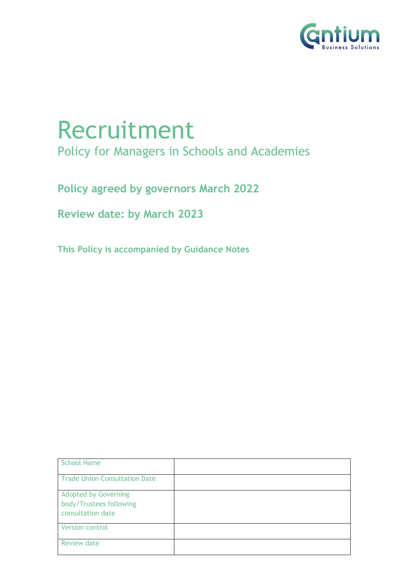

# Recruitment Policy for Managers in Schools and Academies

**Policy agreed by governors March 2022**

**Review date: by March 2023**

**This Policy is accompanied by Guidance Notes** 

| <b>School Name</b>                                                          |  |
|-----------------------------------------------------------------------------|--|
| <b>Trade Union Consultation Date</b>                                        |  |
| <b>Adopted by Governing</b><br>body/Trustees following<br>consultation date |  |
| <b>Version control</b>                                                      |  |
| <b>Review date</b>                                                          |  |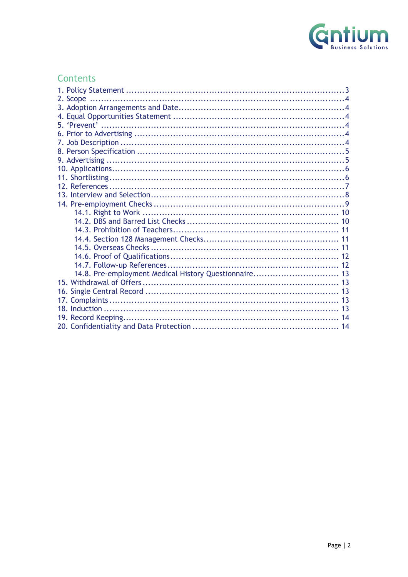

# **Contents**

| 14.8. Pre-employment Medical History Questionnaire 13 |  |
|-------------------------------------------------------|--|
|                                                       |  |
|                                                       |  |
|                                                       |  |
|                                                       |  |
|                                                       |  |
|                                                       |  |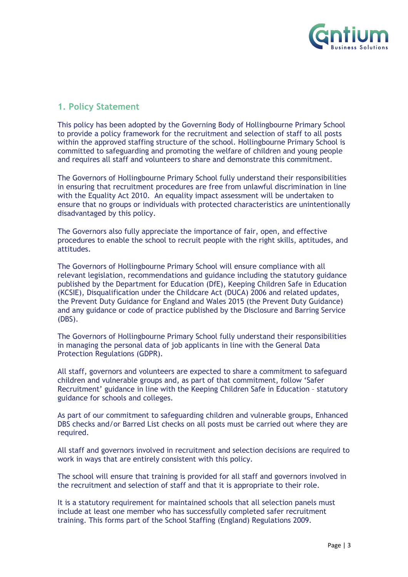

# **1. Policy Statement**

This policy has been adopted by the Governing Body of Hollingbourne Primary School to provide a policy framework for the recruitment and selection of staff to all posts within the approved staffing structure of the school. Hollingbourne Primary School is committed to safeguarding and promoting the welfare of children and young people and requires all staff and volunteers to share and demonstrate this commitment.

The Governors of Hollingbourne Primary School fully understand their responsibilities in ensuring that recruitment procedures are free from unlawful discrimination in line with the Equality Act 2010. An equality impact assessment will be undertaken to ensure that no groups or individuals with protected characteristics are unintentionally disadvantaged by this policy.

The Governors also fully appreciate the importance of fair, open, and effective procedures to enable the school to recruit people with the right skills, aptitudes, and attitudes.

The Governors of Hollingbourne Primary School will ensure compliance with all relevant legislation, recommendations and guidance including the statutory guidance published by the Department for Education (DfE), Keeping Children Safe in Education (KCSIE), Disqualification under the Childcare Act (DUCA) 2006 and related updates, the Prevent Duty Guidance for England and Wales 2015 (the Prevent Duty Guidance) and any guidance or code of practice published by the Disclosure and Barring Service (DBS).

The Governors of Hollingbourne Primary School fully understand their responsibilities in managing the personal data of job applicants in line with the General Data Protection Regulations (GDPR).

All staff, governors and volunteers are expected to share a commitment to safeguard children and vulnerable groups and, as part of that commitment, follow 'Safer Recruitment' guidance in line with the Keeping Children Safe in Education – statutory guidance for schools and colleges.

As part of our commitment to safeguarding children and vulnerable groups, Enhanced DBS checks and/or Barred List checks on all posts must be carried out where they are required.

All staff and governors involved in recruitment and selection decisions are required to work in ways that are entirely consistent with this policy.

The school will ensure that training is provided for all staff and governors involved in the recruitment and selection of staff and that it is appropriate to their role.

It is a statutory requirement for maintained schools that all selection panels must include at least one member who has successfully completed safer recruitment training. This forms part of the School Staffing (England) Regulations 2009.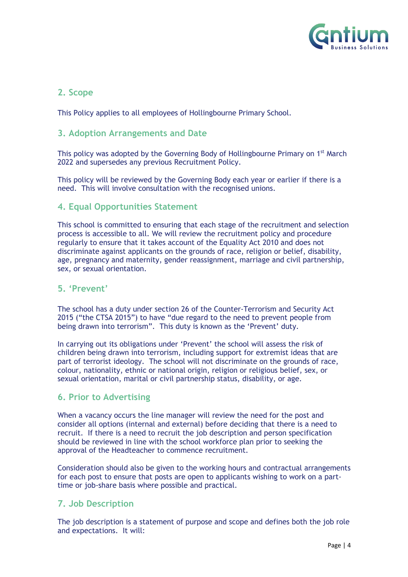

# **2. Scope**

This Policy applies to all employees of Hollingbourne Primary School.

## **3. Adoption Arrangements and Date**

This policy was adopted by the Governing Body of Hollingbourne Primary on 1<sup>st</sup> March 2022 and supersedes any previous Recruitment Policy.

This policy will be reviewed by the Governing Body each year or earlier if there is a need. This will involve consultation with the recognised unions.

# **4. Equal Opportunities Statement**

This school is committed to ensuring that each stage of the recruitment and selection process is accessible to all. We will review the recruitment policy and procedure regularly to ensure that it takes account of the Equality Act 2010 and does not discriminate against applicants on the grounds of race, religion or belief, disability, age, pregnancy and maternity, gender reassignment, marriage and civil partnership, sex, or sexual orientation.

# **5. 'Prevent'**

The school has a duty under section 26 of the Counter-Terrorism and Security Act 2015 ("the CTSA 2015") to have "due regard to the need to prevent people from being drawn into terrorism". This duty is known as the 'Prevent' duty.

In carrying out its obligations under 'Prevent' the school will assess the risk of children being drawn into terrorism, including support for extremist ideas that are part of terrorist ideology. The school will not discriminate on the grounds of race, colour, nationality, ethnic or national origin, religion or religious belief, sex, or sexual orientation, marital or civil partnership status, disability, or age.

# **6. Prior to Advertising**

When a vacancy occurs the line manager will review the need for the post and consider all options (internal and external) before deciding that there is a need to recruit. If there is a need to recruit the job description and person specification should be reviewed in line with the school workforce plan prior to seeking the approval of the Headteacher to commence recruitment.

Consideration should also be given to the working hours and contractual arrangements for each post to ensure that posts are open to applicants wishing to work on a parttime or job-share basis where possible and practical.

# **7. Job Description**

The job description is a statement of purpose and scope and defines both the job role and expectations. It will: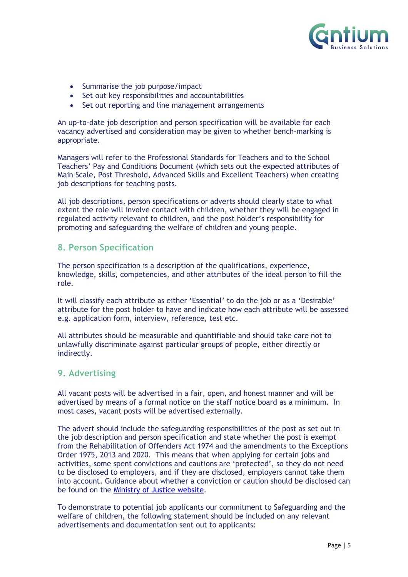

- Summarise the job purpose/impact
- Set out key responsibilities and accountabilities
- Set out reporting and line management arrangements

An up-to-date job description and person specification will be available for each vacancy advertised and consideration may be given to whether bench-marking is appropriate.

Managers will refer to the Professional Standards for Teachers and to the School Teachers' Pay and Conditions Document (which sets out the expected attributes of Main Scale, Post Threshold, Advanced Skills and Excellent Teachers) when creating job descriptions for teaching posts.

All job descriptions, person specifications or adverts should clearly state to what extent the role will involve contact with children, whether they will be engaged in regulated activity relevant to children, and the post holder's responsibility for promoting and safeguarding the welfare of children and young people.

#### **8. Person Specification**

The person specification is a description of the qualifications, experience, knowledge, skills, competencies, and other attributes of the ideal person to fill the role.

It will classify each attribute as either 'Essential' to do the job or as a 'Desirable' attribute for the post holder to have and indicate how each attribute will be assessed e.g. application form, interview, reference, test etc.

All attributes should be measurable and quantifiable and should take care not to unlawfully discriminate against particular groups of people, either directly or indirectly.

#### **9. Advertising**

All vacant posts will be advertised in a fair, open, and honest manner and will be advertised by means of a formal notice on the staff notice board as a minimum. In most cases, vacant posts will be advertised externally.

The advert should include the safeguarding responsibilities of the post as set out in the job description and person specification and state whether the post is exempt from the Rehabilitation of Offenders Act 1974 and the amendments to the Exceptions Order 1975, 2013 and 2020. This means that when applying for certain jobs and activities, some spent convictions and cautions are 'protected', so they do not need to be disclosed to employers, and if they are disclosed, employers cannot take them into account. Guidance about whether a conviction or caution should be disclosed can be found on the Ministry of Justice website.

To demonstrate to potential job applicants our commitment to Safeguarding and the welfare of children, the following statement should be included on any relevant advertisements and documentation sent out to applicants: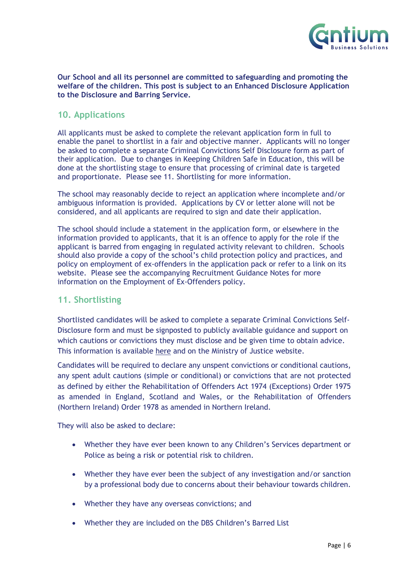

#### **Our School and all its personnel are committed to safeguarding and promoting the welfare of the children. This post is subject to an Enhanced Disclosure Application to the Disclosure and Barring Service.**

# **10. Applications**

All applicants must be asked to complete the relevant application form in full to enable the panel to shortlist in a fair and objective manner. Applicants will no longer be asked to complete a separate Criminal Convictions Self Disclosure form as part of their application. Due to changes in Keeping Children Safe in Education, this will be done at the shortlisting stage to ensure that processing of criminal date is targeted and proportionate. Please see 11. Shortlisting for more information.

The school may reasonably decide to reject an application where incomplete and/or ambiguous information is provided. Applications by CV or letter alone will not be considered, and all applicants are required to sign and date their application.

The school should include a statement in the application form, or elsewhere in the information provided to applicants, that it is an offence to apply for the role if the applicant is barred from engaging in regulated activity relevant to children. Schools should also provide a copy of the school's child protection policy and practices, and policy on employment of ex-offenders in the application pack or refer to a link on its website. Please see the accompanying Recruitment Guidance Notes for more information on the Employment of Ex-Offenders policy.

# **11. Shortlisting**

Shortlisted candidates will be asked to complete a separate Criminal Convictions Self-Disclosure form and must be signposted to publicly available guidance and support on which cautions or convictions they must disclose and be given time to obtain advice. This information is available here and on the Ministry of Justice website.

Candidates will be required to declare any unspent convictions or conditional cautions, any spent adult cautions (simple or conditional) or convictions that are not protected as defined by either the Rehabilitation of Offenders Act 1974 (Exceptions) Order 1975 as amended in England, Scotland and Wales, or the Rehabilitation of Offenders (Northern Ireland) Order 1978 as amended in Northern Ireland.

They will also be asked to declare:

- Whether they have ever been known to any Children's Services department or Police as being a risk or potential risk to children.
- Whether they have ever been the subject of any investigation and/or sanction by a professional body due to concerns about their behaviour towards children.
- Whether they have any overseas convictions; and
- Whether they are included on the DBS Children's Barred List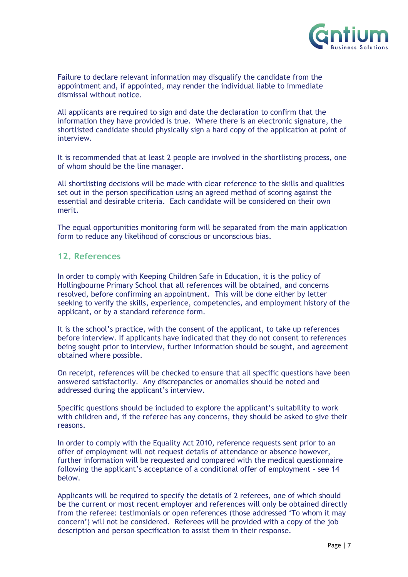

Failure to declare relevant information may disqualify the candidate from the appointment and, if appointed, may render the individual liable to immediate dismissal without notice.

All applicants are required to sign and date the declaration to confirm that the information they have provided is true. Where there is an electronic signature, the shortlisted candidate should physically sign a hard copy of the application at point of interview.

It is recommended that at least 2 people are involved in the shortlisting process, one of whom should be the line manager.

All shortlisting decisions will be made with clear reference to the skills and qualities set out in the person specification using an agreed method of scoring against the essential and desirable criteria. Each candidate will be considered on their own merit.

The equal opportunities monitoring form will be separated from the main application form to reduce any likelihood of conscious or unconscious bias.

#### **12. References**

In order to comply with Keeping Children Safe in Education, it is the policy of Hollingbourne Primary School that all references will be obtained, and concerns resolved, before confirming an appointment. This will be done either by letter seeking to verify the skills, experience, competencies, and employment history of the applicant, or by a standard reference form.

It is the school's practice, with the consent of the applicant, to take up references before interview. If applicants have indicated that they do not consent to references being sought prior to interview, further information should be sought, and agreement obtained where possible.

On receipt, references will be checked to ensure that all specific questions have been answered satisfactorily. Any discrepancies or anomalies should be noted and addressed during the applicant's interview.

Specific questions should be included to explore the applicant's suitability to work with children and, if the referee has any concerns, they should be asked to give their reasons.

In order to comply with the Equality Act 2010, reference requests sent prior to an offer of employment will not request details of attendance or absence however, further information will be requested and compared with the medical questionnaire following the applicant's acceptance of a conditional offer of employment – see 14 below.

Applicants will be required to specify the details of 2 referees, one of which should be the current or most recent employer and references will only be obtained directly from the referee: testimonials or open references (those addressed 'To whom it may concern') will not be considered. Referees will be provided with a copy of the job description and person specification to assist them in their response.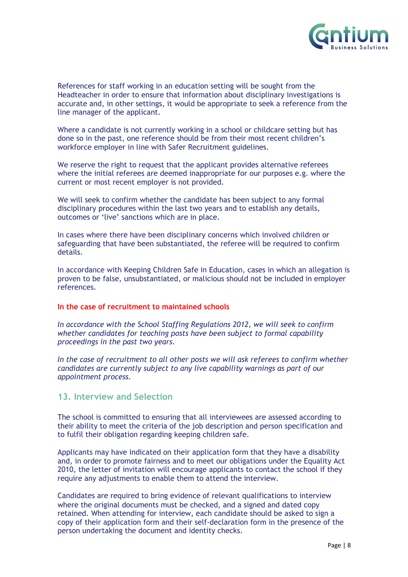

References for staff working in an education setting will be sought from the Headteacher in order to ensure that information about disciplinary investigations is accurate and, in other settings, it would be appropriate to seek a reference from the line manager of the applicant.

Where a candidate is not currently working in a school or childcare setting but has done so in the past, one reference should be from their most recent children's workforce employer in line with Safer Recruitment guidelines.

We reserve the right to request that the applicant provides alternative referees where the initial referees are deemed inappropriate for our purposes e.g. where the current or most recent employer is not provided.

We will seek to confirm whether the candidate has been subject to any formal disciplinary procedures within the last two years and to establish any details, outcomes or 'live' sanctions which are in place.

In cases where there have been disciplinary concerns which involved children or safeguarding that have been substantiated, the referee will be required to confirm details.

In accordance with Keeping Children Safe in Education, cases in which an allegation is proven to be false, unsubstantiated, or malicious should not be included in employer references.

#### **In the case of recruitment to maintained schools**

*In accordance with the School Staffing Regulations 2012, we will seek to confirm whether candidates for teaching posts have been subject to formal capability proceedings in the past two years.*

*In the case of recruitment to all other posts we will ask referees to confirm whether candidates are currently subject to any live capability warnings as part of our appointment process.*

## **13. Interview and Selection**

The school is committed to ensuring that all interviewees are assessed according to their ability to meet the criteria of the job description and person specification and to fulfil their obligation regarding keeping children safe.

Applicants may have indicated on their application form that they have a disability and, in order to promote fairness and to meet our obligations under the Equality Act 2010, the letter of invitation will encourage applicants to contact the school if they require any adjustments to enable them to attend the interview.

Candidates are required to bring evidence of relevant qualifications to interview where the original documents must be checked, and a signed and dated copy retained. When attending for interview, each candidate should be asked to sign a copy of their application form and their self-declaration form in the presence of the person undertaking the document and identity checks.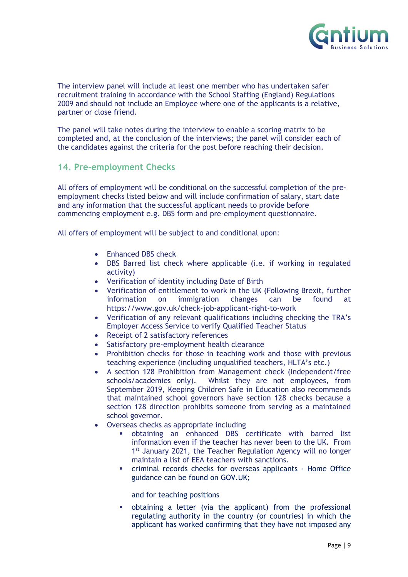

The interview panel will include at least one member who has undertaken safer recruitment training in accordance with the School Staffing (England) Regulations 2009 and should not include an Employee where one of the applicants is a relative, partner or close friend.

The panel will take notes during the interview to enable a scoring matrix to be completed and, at the conclusion of the interviews; the panel will consider each of the candidates against the criteria for the post before reaching their decision.

#### **14. Pre-employment Checks**

All offers of employment will be conditional on the successful completion of the preemployment checks listed below and will include confirmation of salary, start date and any information that the successful applicant needs to provide before commencing employment e.g. DBS form and pre-employment questionnaire.

All offers of employment will be subject to and conditional upon:

- Enhanced DBS check
- DBS Barred list check where applicable (i.e. if working in regulated activity)
- Verification of identity including Date of Birth
- Verification of entitlement to work in the UK (Following Brexit, further information on immigration changes can be found at https://www.gov.uk/check-job-applicant-right-to-work
- Verification of any relevant qualifications including checking the TRA's Employer Access Service to verify Qualified Teacher Status
- Receipt of 2 satisfactory references
- Satisfactory pre-employment health clearance
- Prohibition checks for those in teaching work and those with previous teaching experience (including unqualified teachers, HLTA's etc.)
- A section 128 Prohibition from Management check (Independent/free schools/academies only). Whilst they are not employees, from September 2019, Keeping Children Safe in Education also recommends that maintained school governors have section 128 checks because a section 128 direction prohibits someone from serving as a maintained school governor.
- Overseas checks as appropriate including
	- obtaining an enhanced DBS certificate with barred list information even if the teacher has never been to the UK. From 1<sup>st</sup> January 2021, the Teacher Regulation Agency will no longer maintain a list of EEA teachers with sanctions.
	- criminal records checks for overseas applicants Home Office guidance can be found on GOV.UK;

and for teaching positions

§ obtaining a letter (via the applicant) from the professional regulating authority in the country (or countries) in which the applicant has worked confirming that they have not imposed any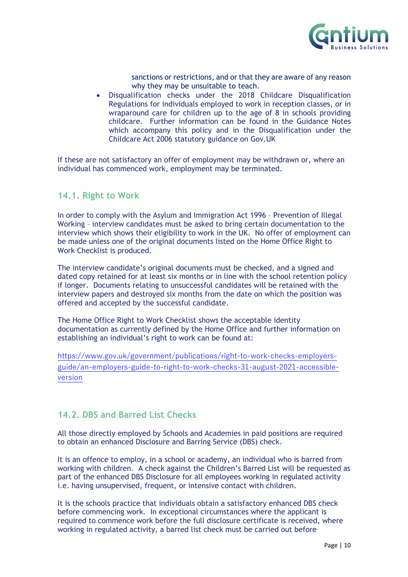

sanctions or restrictions, and or that they are aware of any reason why they may be unsuitable to teach.

• Disqualification checks under the 2018 Childcare Disqualification Regulations for individuals employed to work in reception classes, or in wraparound care for children up to the age of 8 in schools providing childcare. Further information can be found in the Guidance Notes which accompany this policy and in the Disqualification under the Childcare Act 2006 statutory guidance on Gov.UK

If these are not satisfactory an offer of employment may be withdrawn or, where an individual has commenced work, employment may be terminated.

#### **14.1. Right to Work**

In order to comply with the Asylum and Immigration Act 1996 – Prevention of Illegal Working – interview candidates must be asked to bring certain documentation to the interview which shows their eligibility to work in the UK. No offer of employment can be made unless one of the original documents listed on the Home Office Right to Work Checklist is produced.

The interview candidate's original documents must be checked, and a signed and dated copy retained for at least six months or in line with the school retention policy if longer. Documents relating to unsuccessful candidates will be retained with the interview papers and destroyed six months from the date on which the position was offered and accepted by the successful candidate.

The Home Office Right to Work Checklist shows the acceptable identity documentation as currently defined by the Home Office and further information on establishing an individual's right to work can be found at:

https://www.gov.uk/government/publications/right-to-work-checks-employersguide/an-employers-guide-to-right-to-work-checks-31-august-2021-accessibleversion

# **14.2. DBS and Barred List Checks**

All those directly employed by Schools and Academies in paid positions are required to obtain an enhanced Disclosure and Barring Service (DBS) check.

It is an offence to employ, in a school or academy, an individual who is barred from working with children. A check against the Children's Barred List will be requested as part of the enhanced DBS Disclosure for all employees working in regulated activity i.e. having unsupervised, frequent, or intensive contact with children.

It is the schools practice that individuals obtain a satisfactory enhanced DBS check before commencing work. In exceptional circumstances where the applicant is required to commence work before the full disclosure certificate is received, where working in regulated activity, a barred list check must be carried out before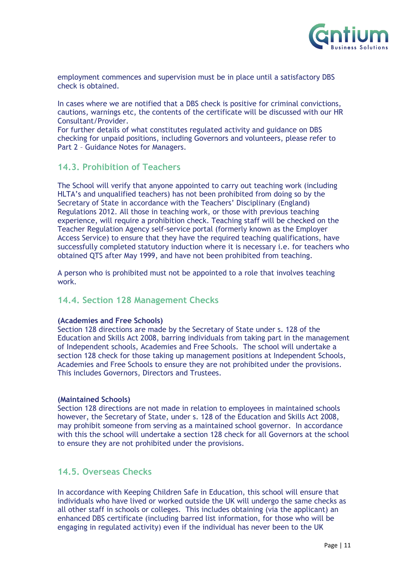

employment commences and supervision must be in place until a satisfactory DBS check is obtained.

In cases where we are notified that a DBS check is positive for criminal convictions, cautions, warnings etc, the contents of the certificate will be discussed with our HR Consultant/Provider.

For further details of what constitutes regulated activity and guidance on DBS checking for unpaid positions, including Governors and volunteers, please refer to Part 2 – Guidance Notes for Managers.

#### **14.3. Prohibition of Teachers**

The School will verify that anyone appointed to carry out teaching work (including HLTA's and unqualified teachers) has not been prohibited from doing so by the Secretary of State in accordance with the Teachers' Disciplinary (England) Regulations 2012. All those in teaching work, or those with previous teaching experience, will require a prohibition check. Teaching staff will be checked on the Teacher Regulation Agency self-service portal (formerly known as the Employer Access Service) to ensure that they have the required teaching qualifications, have successfully completed statutory induction where it is necessary i.e. for teachers who obtained QTS after May 1999, and have not been prohibited from teaching.

A person who is prohibited must not be appointed to a role that involves teaching work.

# **14.4. Section 128 Management Checks**

#### **(Academies and Free Schools)**

Section 128 directions are made by the Secretary of State under s. 128 of the Education and Skills Act 2008, barring individuals from taking part in the management of Independent schools, Academies and Free Schools. The school will undertake a section 128 check for those taking up management positions at Independent Schools, Academies and Free Schools to ensure they are not prohibited under the provisions. This includes Governors, Directors and Trustees.

#### **(Maintained Schools)**

Section 128 directions are not made in relation to employees in maintained schools however, the Secretary of State, under s. 128 of the Education and Skills Act 2008, may prohibit someone from serving as a maintained school governor. In accordance with this the school will undertake a section 128 check for all Governors at the school to ensure they are not prohibited under the provisions.

# **14.5. Overseas Checks**

In accordance with Keeping Children Safe in Education, this school will ensure that individuals who have lived or worked outside the UK will undergo the same checks as all other staff in schools or colleges. This includes obtaining (via the applicant) an enhanced DBS certificate (including barred list information, for those who will be engaging in regulated activity) even if the individual has never been to the UK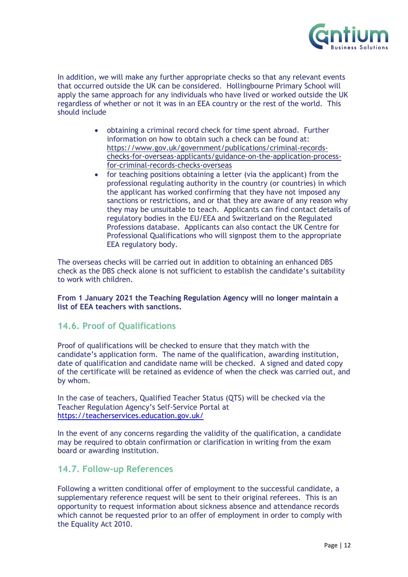

In addition, we will make any further appropriate checks so that any relevant events that occurred outside the UK can be considered. Hollingbourne Primary School will apply the same approach for any individuals who have lived or worked outside the UK regardless of whether or not it was in an EEA country or the rest of the world. This should include

- obtaining a criminal record check for time spent abroad. Further information on how to obtain such a check can be found at: https://www.gov.uk/government/publications/criminal-recordschecks-for-overseas-applicants/guidance-on-the-application-processfor-criminal-records-checks-overseas
- for teaching positions obtaining a letter (via the applicant) from the professional regulating authority in the country (or countries) in which the applicant has worked confirming that they have not imposed any sanctions or restrictions, and or that they are aware of any reason why they may be unsuitable to teach. Applicants can find contact details of regulatory bodies in the EU/EEA and Switzerland on the Regulated Professions database. Applicants can also contact the UK Centre for Professional Qualifications who will signpost them to the appropriate EEA regulatory body.

The overseas checks will be carried out in addition to obtaining an enhanced DBS check as the DBS check alone is not sufficient to establish the candidate's suitability to work with children.

**From 1 January 2021 the Teaching Regulation Agency will no longer maintain a list of EEA teachers with sanctions.**

#### **14.6. Proof of Qualifications**

Proof of qualifications will be checked to ensure that they match with the candidate's application form. The name of the qualification, awarding institution, date of qualification and candidate name will be checked. A signed and dated copy of the certificate will be retained as evidence of when the check was carried out, and by whom.

In the case of teachers, Qualified Teacher Status (QTS) will be checked via the Teacher Regulation Agency's Self-Service Portal at https://teacherservices.education.gov.uk/

In the event of any concerns regarding the validity of the qualification, a candidate may be required to obtain confirmation or clarification in writing from the exam board or awarding institution.

# **14.7. Follow-up References**

Following a written conditional offer of employment to the successful candidate, a supplementary reference request will be sent to their original referees. This is an opportunity to request information about sickness absence and attendance records which cannot be requested prior to an offer of employment in order to comply with the Equality Act 2010.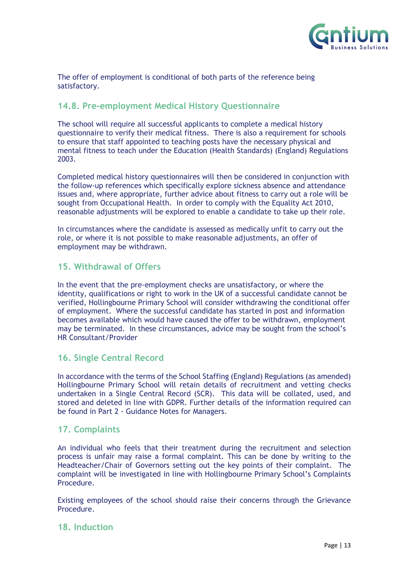

The offer of employment is conditional of both parts of the reference being satisfactory.

# **14.8. Pre-employment Medical History Questionnaire**

The school will require all successful applicants to complete a medical history questionnaire to verify their medical fitness. There is also a requirement for schools to ensure that staff appointed to teaching posts have the necessary physical and mental fitness to teach under the Education (Health Standards) (England) Regulations 2003.

Completed medical history questionnaires will then be considered in conjunction with the follow-up references which specifically explore sickness absence and attendance issues and, where appropriate, further advice about fitness to carry out a role will be sought from Occupational Health. In order to comply with the Equality Act 2010, reasonable adjustments will be explored to enable a candidate to take up their role.

In circumstances where the candidate is assessed as medically unfit to carry out the role, or where it is not possible to make reasonable adjustments, an offer of employment may be withdrawn.

# **15. Withdrawal of Offers**

In the event that the pre-employment checks are unsatisfactory, or where the identity, qualifications or right to work in the UK of a successful candidate cannot be verified, Hollingbourne Primary School will consider withdrawing the conditional offer of employment. Where the successful candidate has started in post and information becomes available which would have caused the offer to be withdrawn, employment may be terminated. In these circumstances, advice may be sought from the school's HR Consultant/Provider

# **16. Single Central Record**

In accordance with the terms of the School Staffing (England) Regulations (as amended) Hollingbourne Primary School will retain details of recruitment and vetting checks undertaken in a Single Central Record (SCR). This data will be collated, used, and stored and deleted in line with GDPR. Further details of the information required can be found in Part 2 - Guidance Notes for Managers.

# **17. Complaints**

An individual who feels that their treatment during the recruitment and selection process is unfair may raise a formal complaint. This can be done by writing to the Headteacher/Chair of Governors setting out the key points of their complaint. The complaint will be investigated in line with Hollingbourne Primary School's Complaints Procedure.

Existing employees of the school should raise their concerns through the Grievance Procedure.

#### **18. Induction**